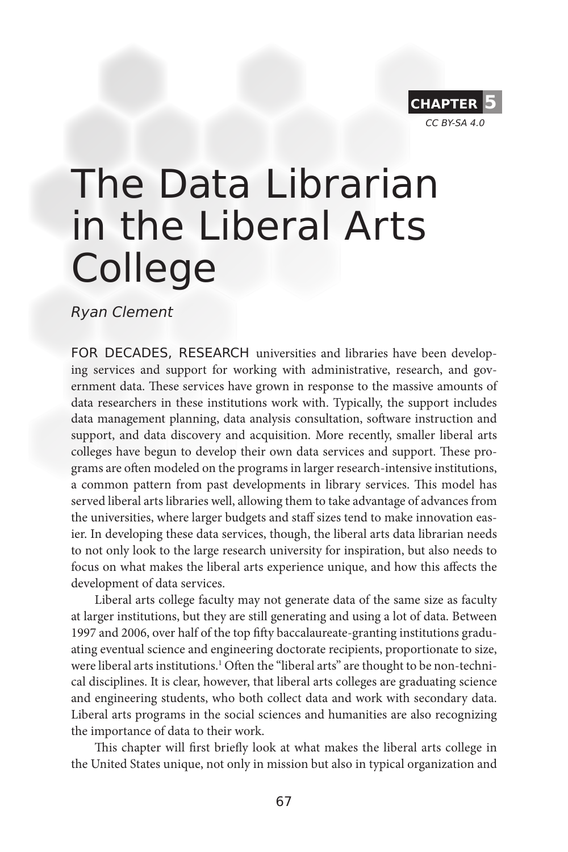

# The Data Librarian in the Liberal Arts College

Ryan Clement

FOR DECADES, RESEARCH universities and libraries have been developing services and support for working with administrative, research, and government data. These services have grown in response to the massive amounts of data researchers in these institutions work with. Typically, the support includes data management planning, data analysis consultation, software instruction and support, and data discovery and acquisition. More recently, smaller liberal arts colleges have begun to develop their own data services and support. These programs are often modeled on the programs in larger research-intensive institutions, a common pattern from past developments in library services. This model has served liberal arts libraries well, allowing them to take advantage of advances from the universities, where larger budgets and staff sizes tend to make innovation easier. In developing these data services, though, the liberal arts data librarian needs to not only look to the large research university for inspiration, but also needs to focus on what makes the liberal arts experience unique, and how this affects the development of data services.

Liberal arts college faculty may not generate data of the same size as faculty at larger institutions, but they are still generating and using a lot of data. Between 1997 and 2006, over half of the top fifty baccalaureate-granting institutions graduating eventual science and engineering doctorate recipients, proportionate to size, were liberal arts institutions.<sup>1</sup> Often the "liberal arts" are thought to be non-technical disciplines. It is clear, however, that liberal arts colleges are graduating science and engineering students, who both collect data and work with secondary data. Liberal arts programs in the social sciences and humanities are also recognizing the importance of data to their work.

This chapter will first briefly look at what makes the liberal arts college in the United States unique, not only in mission but also in typical organization and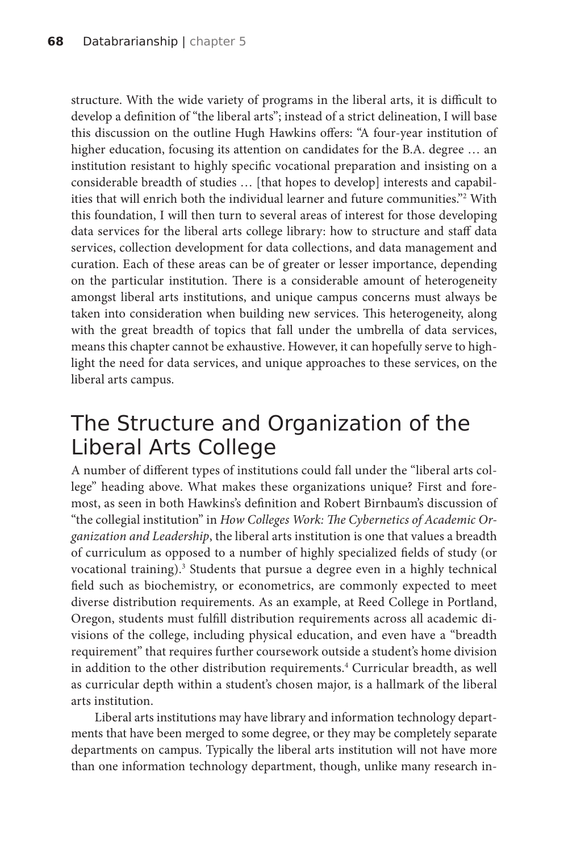structure. With the wide variety of programs in the liberal arts, it is difficult to develop a definition of "the liberal arts"; instead of a strict delineation, I will base this discussion on the outline Hugh Hawkins offers: "A four-year institution of higher education, focusing its attention on candidates for the B.A. degree ... an institution resistant to highly specific vocational preparation and insisting on a considerable breadth of studies … [that hopes to develop] interests and capabilities that will enrich both the individual learner and future communities."2 With this foundation, I will then turn to several areas of interest for those developing data services for the liberal arts college library: how to structure and staff data services, collection development for data collections, and data management and curation. Each of these areas can be of greater or lesser importance, depending on the particular institution. There is a considerable amount of heterogeneity amongst liberal arts institutions, and unique campus concerns must always be taken into consideration when building new services. This heterogeneity, along with the great breadth of topics that fall under the umbrella of data services, means this chapter cannot be exhaustive. However, it can hopefully serve to highlight the need for data services, and unique approaches to these services, on the liberal arts campus.

# The Structure and Organization of the Liberal Arts College

A number of different types of institutions could fall under the "liberal arts college" heading above. What makes these organizations unique? First and foremost, as seen in both Hawkins's definition and Robert Birnbaum's discussion of "the collegial institution" in *How Colleges Work: The Cybernetics of Academic Organization and Leadership*, the liberal arts institution is one that values a breadth of curriculum as opposed to a number of highly specialized fields of study (or vocational training).<sup>3</sup> Students that pursue a degree even in a highly technical field such as biochemistry, or econometrics, are commonly expected to meet diverse distribution requirements. As an example, at Reed College in Portland, Oregon, students must fulfill distribution requirements across all academic divisions of the college, including physical education, and even have a "breadth requirement" that requires further coursework outside a student's home division in addition to the other distribution requirements.<sup>4</sup> Curricular breadth, as well as curricular depth within a student's chosen major, is a hallmark of the liberal arts institution.

Liberal arts institutions may have library and information technology departments that have been merged to some degree, or they may be completely separate departments on campus. Typically the liberal arts institution will not have more than one information technology department, though, unlike many research in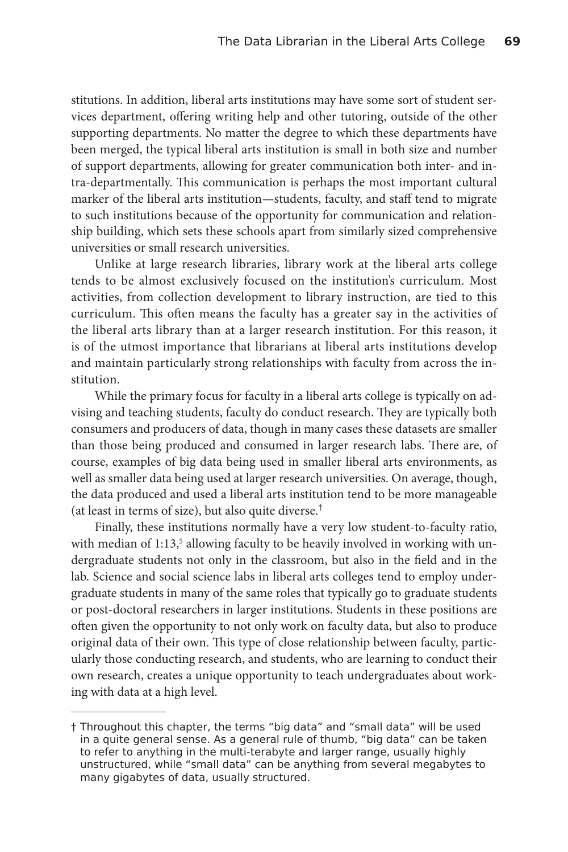stitutions. In addition, liberal arts institutions may have some sort of student services department, offering writing help and other tutoring, outside of the other supporting departments. No matter the degree to which these departments have been merged, the typical liberal arts institution is small in both size and number of support departments, allowing for greater communication both inter- and intra-departmentally. This communication is perhaps the most important cultural marker of the liberal arts institution—students, faculty, and staff tend to migrate to such institutions because of the opportunity for communication and relationship building, which sets these schools apart from similarly sized comprehensive universities or small research universities.

Unlike at large research libraries, library work at the liberal arts college tends to be almost exclusively focused on the institution's curriculum. Most activities, from collection development to library instruction, are tied to this curriculum. This often means the faculty has a greater say in the activities of the liberal arts library than at a larger research institution. For this reason, it is of the utmost importance that librarians at liberal arts institutions develop and maintain particularly strong relationships with faculty from across the institution.

While the primary focus for faculty in a liberal arts college is typically on advising and teaching students, faculty do conduct research. They are typically both consumers and producers of data, though in many cases these datasets are smaller than those being produced and consumed in larger research labs. There are, of course, examples of big data being used in smaller liberal arts environments, as well as smaller data being used at larger research universities. On average, though, the data produced and used a liberal arts institution tend to be more manageable (at least in terms of size), but also quite diverse.<sup>†</sup>

Finally, these institutions normally have a very low student-to-faculty ratio, with median of 1:13,<sup>5</sup> allowing faculty to be heavily involved in working with undergraduate students not only in the classroom, but also in the field and in the lab. Science and social science labs in liberal arts colleges tend to employ undergraduate students in many of the same roles that typically go to graduate students or post-doctoral researchers in larger institutions. Students in these positions are often given the opportunity to not only work on faculty data, but also to produce original data of their own. This type of close relationship between faculty, particularly those conducting research, and students, who are learning to conduct their own research, creates a unique opportunity to teach undergraduates about working with data at a high level.

<sup>†</sup> Throughout this chapter, the terms "big data" and "small data" will be used in a quite general sense. As a general rule of thumb, "big data" can be taken to refer to anything in the multi-terabyte and larger range, usually highly unstructured, while "small data" can be anything from several megabytes to many gigabytes of data, usually structured.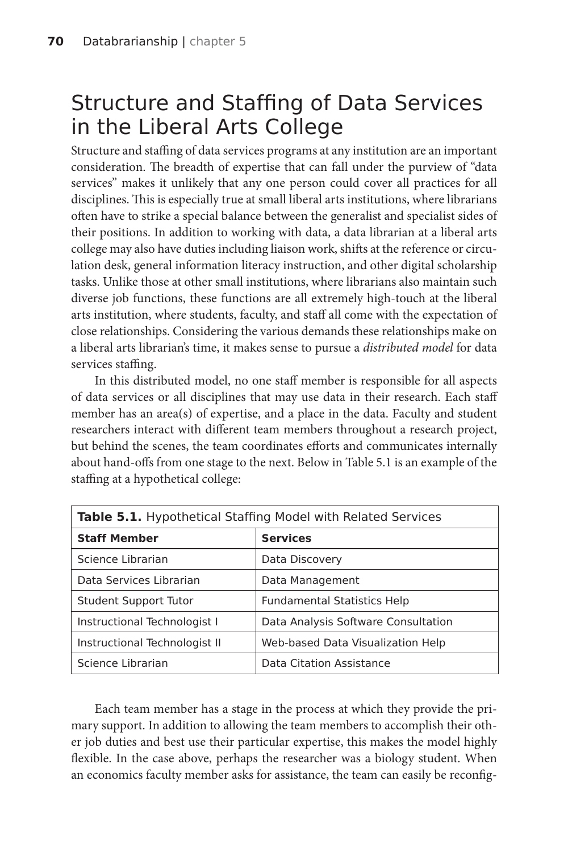# Structure and Staffing of Data Services in the Liberal Arts College

Structure and staffing of data services programs at any institution are an important consideration. The breadth of expertise that can fall under the purview of "data services" makes it unlikely that any one person could cover all practices for all disciplines. This is especially true at small liberal arts institutions, where librarians often have to strike a special balance between the generalist and specialist sides of their positions. In addition to working with data, a data librarian at a liberal arts college may also have duties including liaison work, shifts at the reference or circulation desk, general information literacy instruction, and other digital scholarship tasks. Unlike those at other small institutions, where librarians also maintain such diverse job functions, these functions are all extremely high-touch at the liberal arts institution, where students, faculty, and staff all come with the expectation of close relationships. Considering the various demands these relationships make on a liberal arts librarian's time, it makes sense to pursue a *distributed model* for data services staffing.

In this distributed model, no one staff member is responsible for all aspects of data services or all disciplines that may use data in their research. Each staff member has an area(s) of expertise, and a place in the data. Faculty and student researchers interact with different team members throughout a research project, but behind the scenes, the team coordinates efforts and communicates internally about hand-offs from one stage to the next. Below in Table 5.1 is an example of the staffing at a hypothetical college:

| <b>Table 5.1.</b> Hypothetical Staffing Model with Related Services |                                     |
|---------------------------------------------------------------------|-------------------------------------|
| <b>Staff Member</b>                                                 | <b>Services</b>                     |
| Science Librarian                                                   | Data Discovery                      |
| Data Services Librarian                                             | Data Management                     |
| Student Support Tutor                                               | <b>Fundamental Statistics Help</b>  |
| Instructional Technologist I                                        | Data Analysis Software Consultation |
| Instructional Technologist II                                       | Web-based Data Visualization Help   |
| Science Librarian                                                   | Data Citation Assistance            |

Each team member has a stage in the process at which they provide the primary support. In addition to allowing the team members to accomplish their other job duties and best use their particular expertise, this makes the model highly flexible. In the case above, perhaps the researcher was a biology student. When an economics faculty member asks for assistance, the team can easily be reconfig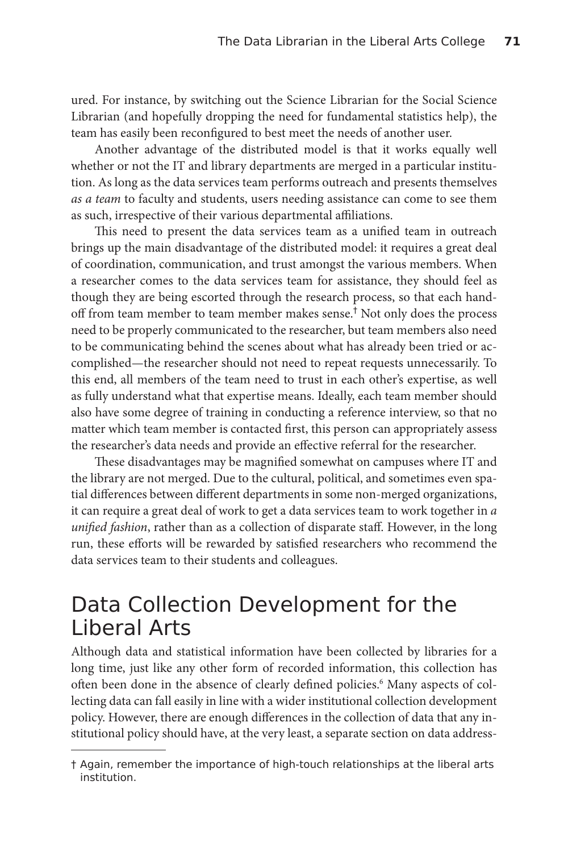ured. For instance, by switching out the Science Librarian for the Social Science Librarian (and hopefully dropping the need for fundamental statistics help), the team has easily been reconfigured to best meet the needs of another user.

Another advantage of the distributed model is that it works equally well whether or not the IT and library departments are merged in a particular institution. As long as the data services team performs outreach and presents themselves *as a team* to faculty and students, users needing assistance can come to see them as such, irrespective of their various departmental affiliations.

This need to present the data services team as a unified team in outreach brings up the main disadvantage of the distributed model: it requires a great deal of coordination, communication, and trust amongst the various members. When a researcher comes to the data services team for assistance, they should feel as though they are being escorted through the research process, so that each handoff from team member to team member makes sense.<sup>†</sup> Not only does the process need to be properly communicated to the researcher, but team members also need to be communicating behind the scenes about what has already been tried or accomplished—the researcher should not need to repeat requests unnecessarily. To this end, all members of the team need to trust in each other's expertise, as well as fully understand what that expertise means. Ideally, each team member should also have some degree of training in conducting a reference interview, so that no matter which team member is contacted first, this person can appropriately assess the researcher's data needs and provide an effective referral for the researcher.

These disadvantages may be magnified somewhat on campuses where IT and the library are not merged. Due to the cultural, political, and sometimes even spatial differences between different departments in some non-merged organizations, it can require a great deal of work to get a data services team to work together in *a unified fashion*, rather than as a collection of disparate staff. However, in the long run, these efforts will be rewarded by satisfied researchers who recommend the data services team to their students and colleagues.

# Data Collection Development for the Liberal Arts

Although data and statistical information have been collected by libraries for a long time, just like any other form of recorded information, this collection has often been done in the absence of clearly defined policies.<sup>6</sup> Many aspects of collecting data can fall easily in line with a wider institutional collection development policy. However, there are enough differences in the collection of data that any institutional policy should have, at the very least, a separate section on data address-

<sup>†</sup> Again, remember the importance of high-touch relationships at the liberal arts institution.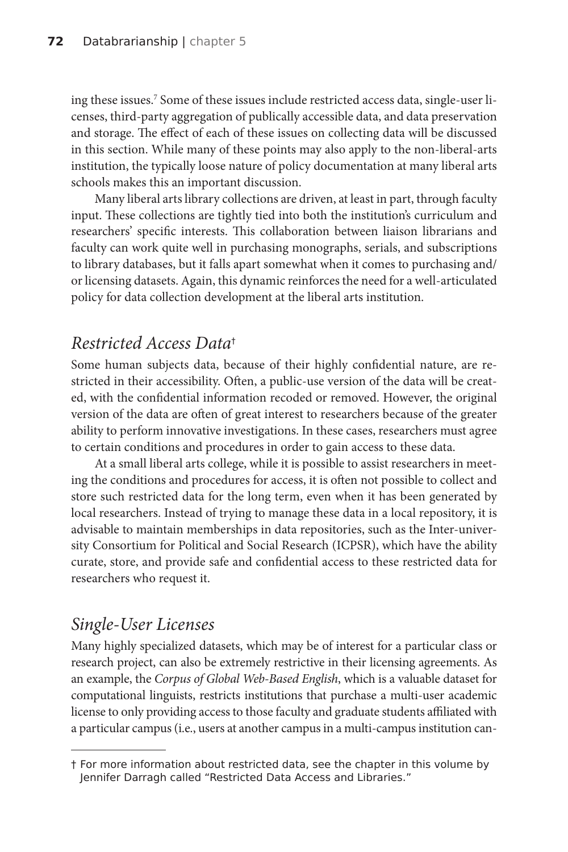ing these issues.7 Some of these issues include restricted access data, single-user licenses, third-party aggregation of publically accessible data, and data preservation and storage. The effect of each of these issues on collecting data will be discussed in this section. While many of these points may also apply to the non-liberal-arts institution, the typically loose nature of policy documentation at many liberal arts schools makes this an important discussion.

Many liberal arts library collections are driven, at least in part, through faculty input. These collections are tightly tied into both the institution's curriculum and researchers' specific interests. This collaboration between liaison librarians and faculty can work quite well in purchasing monographs, serials, and subscriptions to library databases, but it falls apart somewhat when it comes to purchasing and/ or licensing datasets. Again, this dynamic reinforces the need for a well-articulated policy for data collection development at the liberal arts institution.

## *Restricted Access Data*†

Some human subjects data, because of their highly confidential nature, are restricted in their accessibility. Often, a public-use version of the data will be created, with the confidential information recoded or removed. However, the original version of the data are often of great interest to researchers because of the greater ability to perform innovative investigations. In these cases, researchers must agree to certain conditions and procedures in order to gain access to these data.

At a small liberal arts college, while it is possible to assist researchers in meeting the conditions and procedures for access, it is often not possible to collect and store such restricted data for the long term, even when it has been generated by local researchers. Instead of trying to manage these data in a local repository, it is advisable to maintain memberships in data repositories, such as the Inter-university Consortium for Political and Social Research (ICPSR), which have the ability curate, store, and provide safe and confidential access to these restricted data for researchers who request it.

## *Single-User Licenses*

Many highly specialized datasets, which may be of interest for a particular class or research project, can also be extremely restrictive in their licensing agreements. As an example, the *Corpus of Global Web-Based English*, which is a valuable dataset for computational linguists, restricts institutions that purchase a multi-user academic license to only providing access to those faculty and graduate students affiliated with a particular campus (i.e., users at another campus in a multi-campus institution can-

<sup>†</sup> For more information about restricted data, see the chapter in this volume by Jennifer Darragh called "Restricted Data Access and Libraries."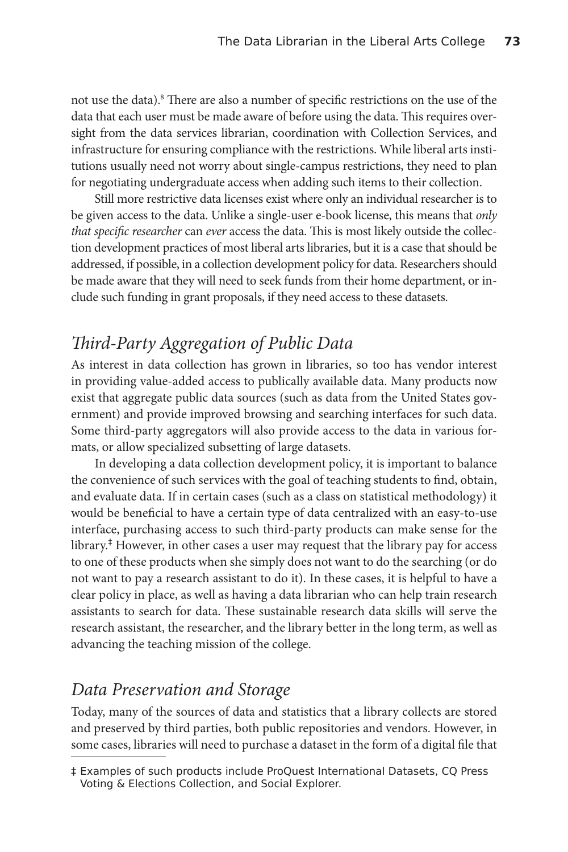not use the data).8 There are also a number of specific restrictions on the use of the data that each user must be made aware of before using the data. This requires oversight from the data services librarian, coordination with Collection Services, and infrastructure for ensuring compliance with the restrictions. While liberal arts institutions usually need not worry about single-campus restrictions, they need to plan for negotiating undergraduate access when adding such items to their collection.

Still more restrictive data licenses exist where only an individual researcher is to be given access to the data. Unlike a single-user e-book license, this means that *only that specific researcher* can *ever* access the data. This is most likely outside the collection development practices of most liberal arts libraries, but it is a case that should be addressed, if possible, in a collection development policy for data. Researchers should be made aware that they will need to seek funds from their home department, or include such funding in grant proposals, if they need access to these datasets.

### *Third-Party Aggregation of Public Data*

As interest in data collection has grown in libraries, so too has vendor interest in providing value-added access to publically available data. Many products now exist that aggregate public data sources (such as data from the United States government) and provide improved browsing and searching interfaces for such data. Some third-party aggregators will also provide access to the data in various formats, or allow specialized subsetting of large datasets.

In developing a data collection development policy, it is important to balance the convenience of such services with the goal of teaching students to find, obtain, and evaluate data. If in certain cases (such as a class on statistical methodology) it would be beneficial to have a certain type of data centralized with an easy-to-use interface, purchasing access to such third-party products can make sense for the library.‡ However, in other cases a user may request that the library pay for access to one of these products when she simply does not want to do the searching (or do not want to pay a research assistant to do it). In these cases, it is helpful to have a clear policy in place, as well as having a data librarian who can help train research assistants to search for data. These sustainable research data skills will serve the research assistant, the researcher, and the library better in the long term, as well as advancing the teaching mission of the college.

#### *Data Preservation and Storage*

Today, many of the sources of data and statistics that a library collects are stored and preserved by third parties, both public repositories and vendors. However, in some cases, libraries will need to purchase a dataset in the form of a digital file that

<sup>‡</sup> Examples of such products include ProQuest International Datasets, CQ Press Voting & Elections Collection, and Social Explorer.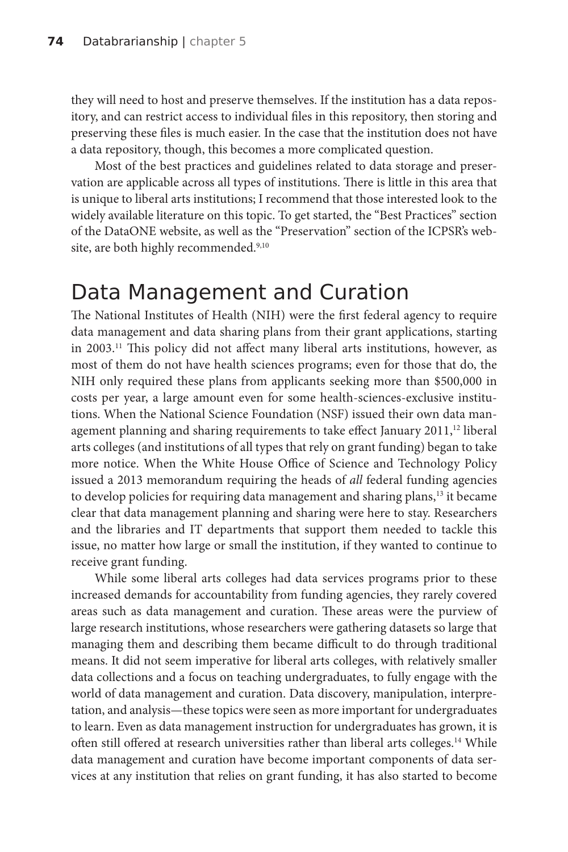they will need to host and preserve themselves. If the institution has a data repository, and can restrict access to individual files in this repository, then storing and preserving these files is much easier. In the case that the institution does not have a data repository, though, this becomes a more complicated question.

Most of the best practices and guidelines related to data storage and preservation are applicable across all types of institutions. There is little in this area that is unique to liberal arts institutions; I recommend that those interested look to the widely available literature on this topic. To get started, the "Best Practices" section of the DataONE website, as well as the "Preservation" section of the ICPSR's website, are both highly recommended.<sup>9,10</sup>

## Data Management and Curation

The National Institutes of Health (NIH) were the first federal agency to require data management and data sharing plans from their grant applications, starting in 2003.11 This policy did not affect many liberal arts institutions, however, as most of them do not have health sciences programs; even for those that do, the NIH only required these plans from applicants seeking more than \$500,000 in costs per year, a large amount even for some health-sciences-exclusive institutions. When the National Science Foundation (NSF) issued their own data management planning and sharing requirements to take effect January 2011,<sup>12</sup> liberal arts colleges (and institutions of all types that rely on grant funding) began to take more notice. When the White House Office of Science and Technology Policy issued a 2013 memorandum requiring the heads of *all* federal funding agencies to develop policies for requiring data management and sharing plans,<sup>13</sup> it became clear that data management planning and sharing were here to stay. Researchers and the libraries and IT departments that support them needed to tackle this issue, no matter how large or small the institution, if they wanted to continue to receive grant funding.

While some liberal arts colleges had data services programs prior to these increased demands for accountability from funding agencies, they rarely covered areas such as data management and curation. These areas were the purview of large research institutions, whose researchers were gathering datasets so large that managing them and describing them became difficult to do through traditional means. It did not seem imperative for liberal arts colleges, with relatively smaller data collections and a focus on teaching undergraduates, to fully engage with the world of data management and curation. Data discovery, manipulation, interpretation, and analysis—these topics were seen as more important for undergraduates to learn. Even as data management instruction for undergraduates has grown, it is often still offered at research universities rather than liberal arts colleges.<sup>14</sup> While data management and curation have become important components of data services at any institution that relies on grant funding, it has also started to become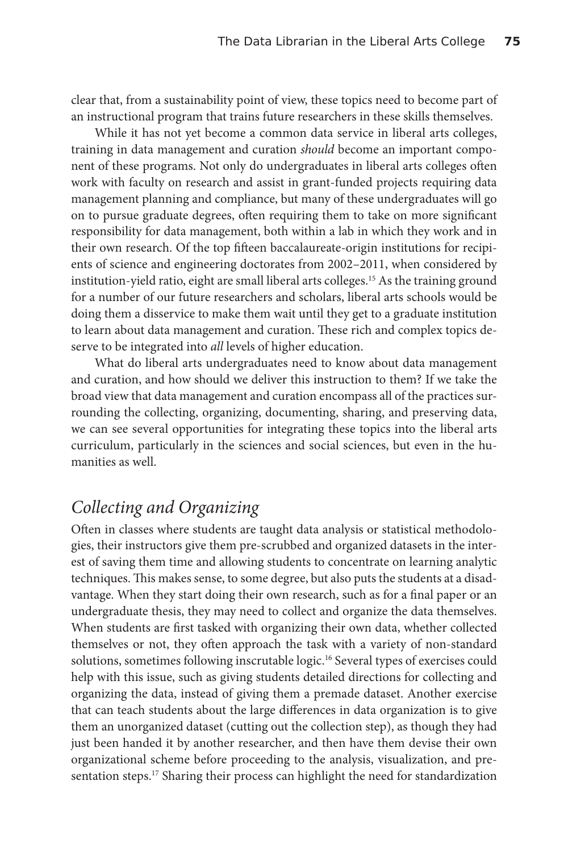clear that, from a sustainability point of view, these topics need to become part of an instructional program that trains future researchers in these skills themselves.

While it has not yet become a common data service in liberal arts colleges, training in data management and curation *should* become an important component of these programs. Not only do undergraduates in liberal arts colleges often work with faculty on research and assist in grant-funded projects requiring data management planning and compliance, but many of these undergraduates will go on to pursue graduate degrees, often requiring them to take on more significant responsibility for data management, both within a lab in which they work and in their own research. Of the top fifteen baccalaureate-origin institutions for recipients of science and engineering doctorates from 2002–2011, when considered by institution-yield ratio, eight are small liberal arts colleges.<sup>15</sup> As the training ground for a number of our future researchers and scholars, liberal arts schools would be doing them a disservice to make them wait until they get to a graduate institution to learn about data management and curation. These rich and complex topics deserve to be integrated into *all* levels of higher education.

What do liberal arts undergraduates need to know about data management and curation, and how should we deliver this instruction to them? If we take the broad view that data management and curation encompass all of the practices surrounding the collecting, organizing, documenting, sharing, and preserving data, we can see several opportunities for integrating these topics into the liberal arts curriculum, particularly in the sciences and social sciences, but even in the humanities as well.

## *Collecting and Organizing*

Often in classes where students are taught data analysis or statistical methodologies, their instructors give them pre-scrubbed and organized datasets in the interest of saving them time and allowing students to concentrate on learning analytic techniques. This makes sense, to some degree, but also puts the students at a disadvantage. When they start doing their own research, such as for a final paper or an undergraduate thesis, they may need to collect and organize the data themselves. When students are first tasked with organizing their own data, whether collected themselves or not, they often approach the task with a variety of non-standard solutions, sometimes following inscrutable logic.16 Several types of exercises could help with this issue, such as giving students detailed directions for collecting and organizing the data, instead of giving them a premade dataset. Another exercise that can teach students about the large differences in data organization is to give them an unorganized dataset (cutting out the collection step), as though they had just been handed it by another researcher, and then have them devise their own organizational scheme before proceeding to the analysis, visualization, and presentation steps.<sup>17</sup> Sharing their process can highlight the need for standardization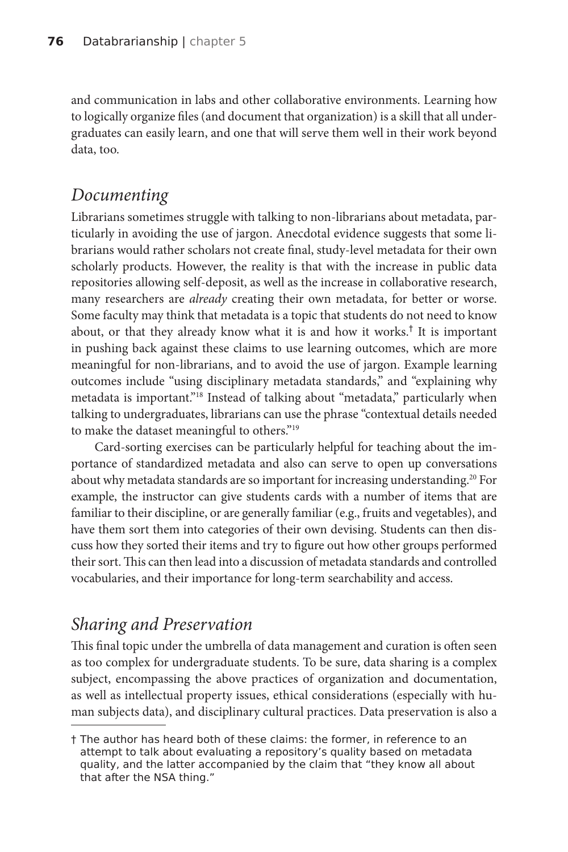and communication in labs and other collaborative environments. Learning how to logically organize files (and document that organization) is a skill that all undergraduates can easily learn, and one that will serve them well in their work beyond data, too.

#### *Documenting*

Librarians sometimes struggle with talking to non-librarians about metadata, particularly in avoiding the use of jargon. Anecdotal evidence suggests that some librarians would rather scholars not create final, study-level metadata for their own scholarly products. However, the reality is that with the increase in public data repositories allowing self-deposit, as well as the increase in collaborative research, many researchers are *already* creating their own metadata, for better or worse. Some faculty may think that metadata is a topic that students do not need to know about, or that they already know what it is and how it works.† It is important in pushing back against these claims to use learning outcomes, which are more meaningful for non-librarians, and to avoid the use of jargon. Example learning outcomes include "using disciplinary metadata standards," and "explaining why metadata is important."18 Instead of talking about "metadata," particularly when talking to undergraduates, librarians can use the phrase "contextual details needed to make the dataset meaningful to others."19

Card-sorting exercises can be particularly helpful for teaching about the importance of standardized metadata and also can serve to open up conversations about why metadata standards are so important for increasing understanding.<sup>20</sup> For example, the instructor can give students cards with a number of items that are familiar to their discipline, or are generally familiar (e.g., fruits and vegetables), and have them sort them into categories of their own devising. Students can then discuss how they sorted their items and try to figure out how other groups performed their sort. This can then lead into a discussion of metadata standards and controlled vocabularies, and their importance for long-term searchability and access.

## *Sharing and Preservation*

This final topic under the umbrella of data management and curation is often seen as too complex for undergraduate students. To be sure, data sharing is a complex subject, encompassing the above practices of organization and documentation, as well as intellectual property issues, ethical considerations (especially with human subjects data), and disciplinary cultural practices. Data preservation is also a

<sup>†</sup> The author has heard both of these claims: the former, in reference to an attempt to talk about evaluating a repository's quality based on metadata quality, and the latter accompanied by the claim that "they know all about that after the NSA thing."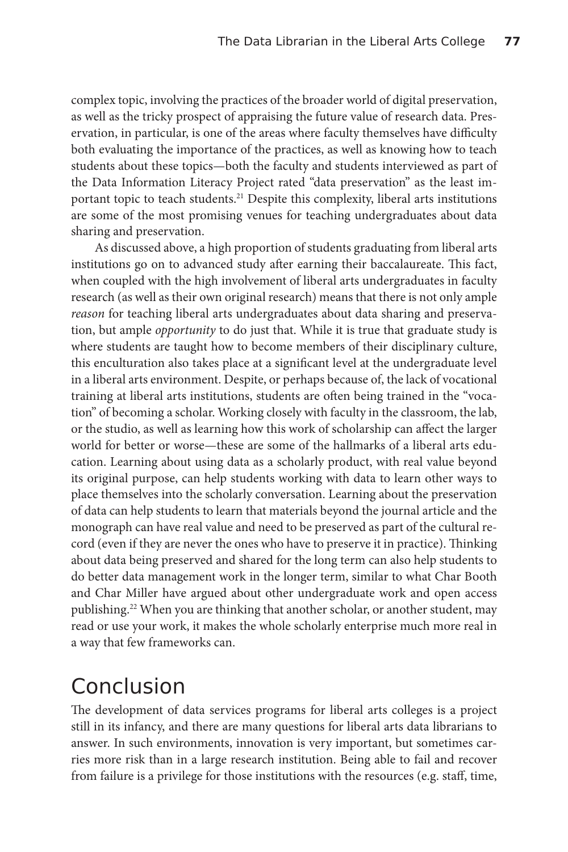complex topic, involving the practices of the broader world of digital preservation, as well as the tricky prospect of appraising the future value of research data. Preservation, in particular, is one of the areas where faculty themselves have difficulty both evaluating the importance of the practices, as well as knowing how to teach students about these topics—both the faculty and students interviewed as part of the Data Information Literacy Project rated "data preservation" as the least important topic to teach students.<sup>21</sup> Despite this complexity, liberal arts institutions are some of the most promising venues for teaching undergraduates about data sharing and preservation.

As discussed above, a high proportion of students graduating from liberal arts institutions go on to advanced study after earning their baccalaureate. This fact, when coupled with the high involvement of liberal arts undergraduates in faculty research (as well as their own original research) means that there is not only ample *reason* for teaching liberal arts undergraduates about data sharing and preservation, but ample *opportunity* to do just that. While it is true that graduate study is where students are taught how to become members of their disciplinary culture, this enculturation also takes place at a significant level at the undergraduate level in a liberal arts environment. Despite, or perhaps because of, the lack of vocational training at liberal arts institutions, students are often being trained in the "vocation" of becoming a scholar. Working closely with faculty in the classroom, the lab, or the studio, as well as learning how this work of scholarship can affect the larger world for better or worse—these are some of the hallmarks of a liberal arts education. Learning about using data as a scholarly product, with real value beyond its original purpose, can help students working with data to learn other ways to place themselves into the scholarly conversation. Learning about the preservation of data can help students to learn that materials beyond the journal article and the monograph can have real value and need to be preserved as part of the cultural record (even if they are never the ones who have to preserve it in practice). Thinking about data being preserved and shared for the long term can also help students to do better data management work in the longer term, similar to what Char Booth and Char Miller have argued about other undergraduate work and open access publishing.22 When you are thinking that another scholar, or another student, may read or use your work, it makes the whole scholarly enterprise much more real in a way that few frameworks can.

# Conclusion

The development of data services programs for liberal arts colleges is a project still in its infancy, and there are many questions for liberal arts data librarians to answer. In such environments, innovation is very important, but sometimes carries more risk than in a large research institution. Being able to fail and recover from failure is a privilege for those institutions with the resources (e.g. staff, time,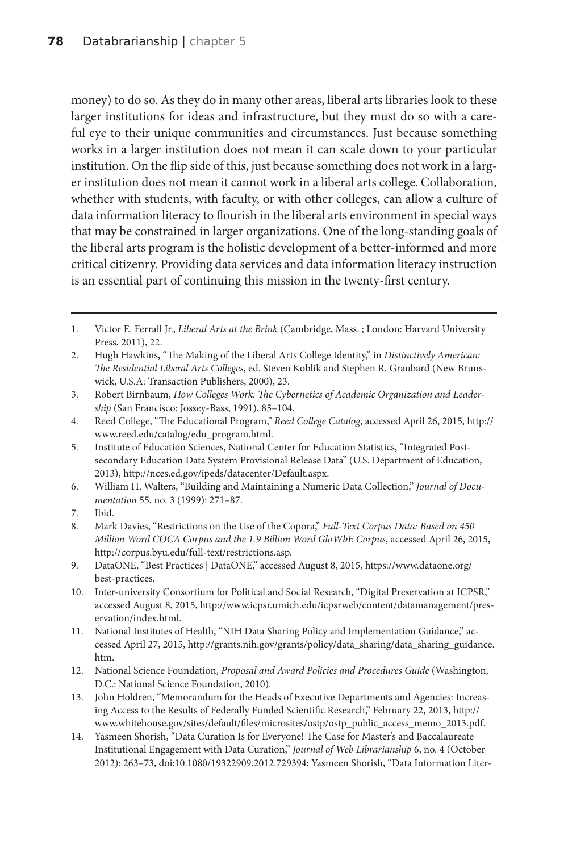money) to do so. As they do in many other areas, liberal arts libraries look to these larger institutions for ideas and infrastructure, but they must do so with a careful eye to their unique communities and circumstances. Just because something works in a larger institution does not mean it can scale down to your particular institution. On the flip side of this, just because something does not work in a larger institution does not mean it cannot work in a liberal arts college. Collaboration, whether with students, with faculty, or with other colleges, can allow a culture of data information literacy to flourish in the liberal arts environment in special ways that may be constrained in larger organizations. One of the long-standing goals of the liberal arts program is the holistic development of a better-informed and more critical citizenry. Providing data services and data information literacy instruction is an essential part of continuing this mission in the twenty-first century.

7. Ibid.

14. Yasmeen Shorish, "Data Curation Is for Everyone! The Case for Master's and Baccalaureate Institutional Engagement with Data Curation," *Journal of Web Librarianship* 6, no. 4 (October 2012): 263–73, doi:10.1080/19322909.2012.729394; Yasmeen Shorish, "Data Information Liter-

<sup>1.</sup> Victor E. Ferrall Jr., *Liberal Arts at the Brink* (Cambridge, Mass. ; London: Harvard University Press, 2011), 22.

<sup>2.</sup> Hugh Hawkins, "The Making of the Liberal Arts College Identity," in *Distinctively American: The Residential Liberal Arts Colleges*, ed. Steven Koblik and Stephen R. Graubard (New Brunswick, U.S.A: Transaction Publishers, 2000), 23.

<sup>3.</sup> Robert Birnbaum, *How Colleges Work: The Cybernetics of Academic Organization and Leadership* (San Francisco: Jossey-Bass, 1991), 85–104.

<sup>4.</sup> Reed College, "The Educational Program," *Reed College Catalog*, accessed April 26, 2015, http:// www.reed.edu/catalog/edu\_program.html.

<sup>5.</sup> Institute of Education Sciences, National Center for Education Statistics, "Integrated Postsecondary Education Data System Provisional Release Data" (U.S. Department of Education, 2013), http://nces.ed.gov/ipeds/datacenter/Default.aspx.

<sup>6.</sup> William H. Walters, "Building and Maintaining a Numeric Data Collection," *Journal of Documentation* 55, no. 3 (1999): 271–87.

<sup>8.</sup> Mark Davies, "Restrictions on the Use of the Copora," *Full-Text Corpus Data: Based on 450 Million Word COCA Corpus and the 1.9 Billion Word GloWbE Corpus*, accessed April 26, 2015, http://corpus.byu.edu/full-text/restrictions.asp.

<sup>9.</sup> DataONE, "Best Practices | DataONE," accessed August 8, 2015, https://www.dataone.org/ best-practices.

<sup>10.</sup> Inter-university Consortium for Political and Social Research, "Digital Preservation at ICPSR," accessed August 8, 2015, http://www.icpsr.umich.edu/icpsrweb/content/datamanagement/preservation/index.html.

<sup>11.</sup> National Institutes of Health, "NIH Data Sharing Policy and Implementation Guidance," accessed April 27, 2015, http://grants.nih.gov/grants/policy/data\_sharing/data\_sharing\_guidance. htm.

<sup>12.</sup> National Science Foundation, *Proposal and Award Policies and Procedures Guide* (Washington, D.C.: National Science Foundation, 2010).

<sup>13.</sup> John Holdren, "Memorandum for the Heads of Executive Departments and Agencies: Increasing Access to the Results of Federally Funded Scientific Research," February 22, 2013, http:// www.whitehouse.gov/sites/default/files/microsites/ostp/ostp\_public\_access\_memo\_2013.pdf.